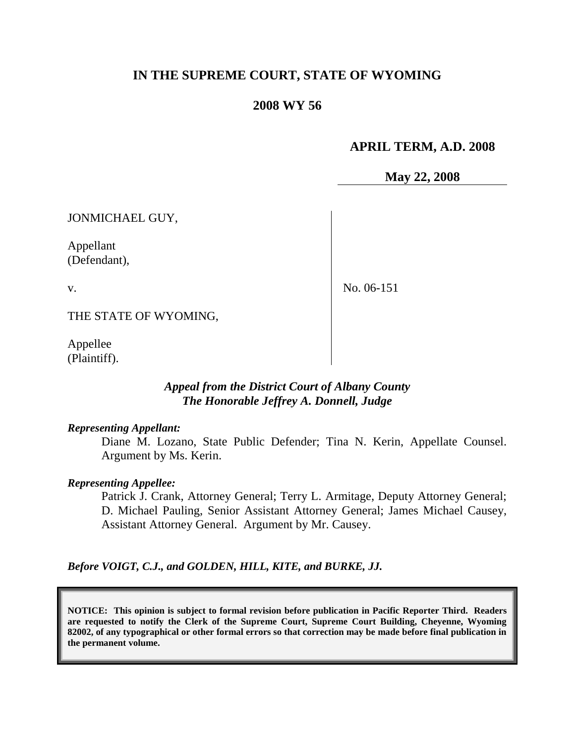## **IN THE SUPREME COURT, STATE OF WYOMING**

### **2008 WY 56**

### **APRIL TERM, A.D. 2008**

**May 22, 2008**

JONMICHAEL GUY,

Appellant (Defendant),

v.

No. 06-151

THE STATE OF WYOMING,

Appellee (Plaintiff).

### *Appeal from the District Court of Albany County The Honorable Jeffrey A. Donnell, Judge*

#### *Representing Appellant:*

Diane M. Lozano, State Public Defender; Tina N. Kerin, Appellate Counsel. Argument by Ms. Kerin.

#### *Representing Appellee:*

Patrick J. Crank, Attorney General; Terry L. Armitage, Deputy Attorney General; D. Michael Pauling, Senior Assistant Attorney General; James Michael Causey, Assistant Attorney General. Argument by Mr. Causey.

*Before VOIGT, C.J., and GOLDEN, HILL, KITE, and BURKE, JJ.*

**NOTICE: This opinion is subject to formal revision before publication in Pacific Reporter Third. Readers are requested to notify the Clerk of the Supreme Court, Supreme Court Building, Cheyenne, Wyoming 82002, of any typographical or other formal errors so that correction may be made before final publication in the permanent volume.**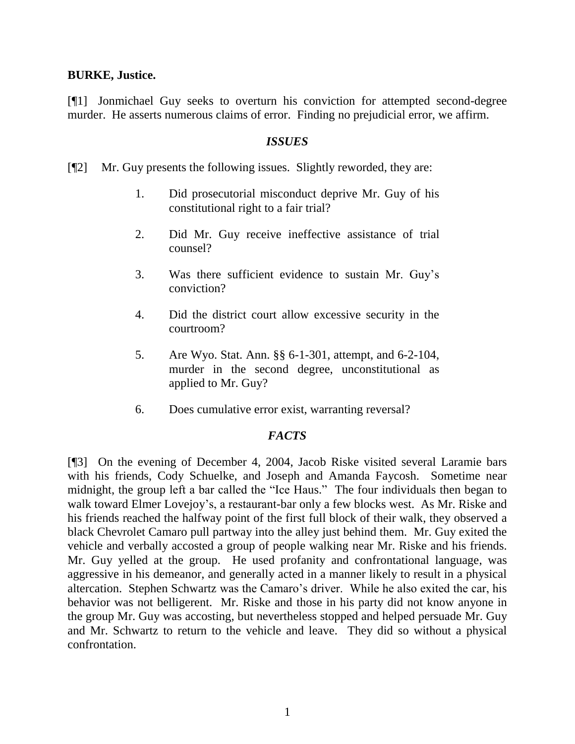#### **BURKE, Justice.**

[¶1] Jonmichael Guy seeks to overturn his conviction for attempted second-degree murder. He asserts numerous claims of error. Finding no prejudicial error, we affirm.

#### *ISSUES*

[¶2] Mr. Guy presents the following issues. Slightly reworded, they are:

- 1. Did prosecutorial misconduct deprive Mr. Guy of his constitutional right to a fair trial?
- 2. Did Mr. Guy receive ineffective assistance of trial counsel?
- 3. Was there sufficient evidence to sustain Mr. Guy"s conviction?
- 4. Did the district court allow excessive security in the courtroom?
- 5. Are Wyo. Stat. Ann. §§ 6-1-301, attempt, and 6-2-104, murder in the second degree, unconstitutional as applied to Mr. Guy?
- 6. Does cumulative error exist, warranting reversal?

### *FACTS*

[¶3] On the evening of December 4, 2004, Jacob Riske visited several Laramie bars with his friends, Cody Schuelke, and Joseph and Amanda Faycosh. Sometime near midnight, the group left a bar called the "Ice Haus." The four individuals then began to walk toward Elmer Lovejoy's, a restaurant-bar only a few blocks west. As Mr. Riske and his friends reached the halfway point of the first full block of their walk, they observed a black Chevrolet Camaro pull partway into the alley just behind them. Mr. Guy exited the vehicle and verbally accosted a group of people walking near Mr. Riske and his friends. Mr. Guy yelled at the group. He used profanity and confrontational language, was aggressive in his demeanor, and generally acted in a manner likely to result in a physical altercation. Stephen Schwartz was the Camaro"s driver. While he also exited the car, his behavior was not belligerent. Mr. Riske and those in his party did not know anyone in the group Mr. Guy was accosting, but nevertheless stopped and helped persuade Mr. Guy and Mr. Schwartz to return to the vehicle and leave. They did so without a physical confrontation.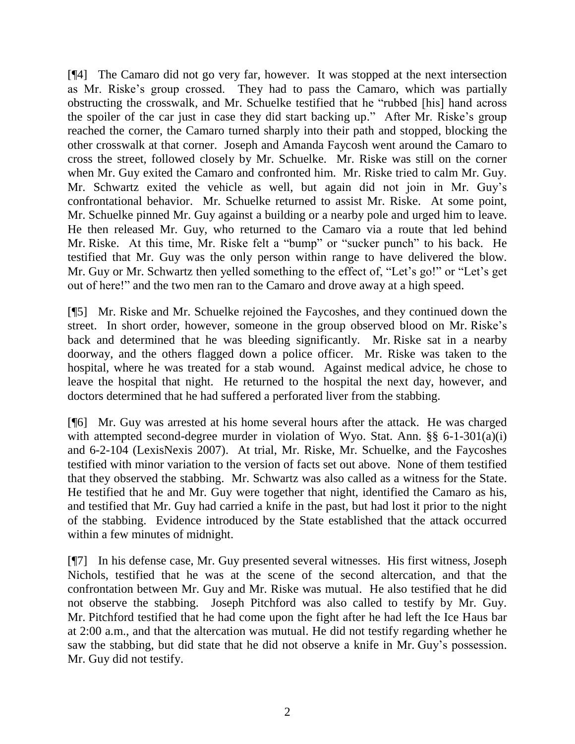[¶4] The Camaro did not go very far, however. It was stopped at the next intersection as Mr. Riske"s group crossed. They had to pass the Camaro, which was partially obstructing the crosswalk, and Mr. Schuelke testified that he "rubbed [his] hand across the spoiler of the car just in case they did start backing up." After Mr. Riske"s group reached the corner, the Camaro turned sharply into their path and stopped, blocking the other crosswalk at that corner. Joseph and Amanda Faycosh went around the Camaro to cross the street, followed closely by Mr. Schuelke. Mr. Riske was still on the corner when Mr. Guy exited the Camaro and confronted him. Mr. Riske tried to calm Mr. Guy. Mr. Schwartz exited the vehicle as well, but again did not join in Mr. Guy"s confrontational behavior. Mr. Schuelke returned to assist Mr. Riske. At some point, Mr. Schuelke pinned Mr. Guy against a building or a nearby pole and urged him to leave. He then released Mr. Guy, who returned to the Camaro via a route that led behind Mr. Riske. At this time, Mr. Riske felt a "bump" or "sucker punch" to his back. He testified that Mr. Guy was the only person within range to have delivered the blow. Mr. Guy or Mr. Schwartz then yelled something to the effect of, "Let's go!" or "Let's get out of here!" and the two men ran to the Camaro and drove away at a high speed.

[¶5] Mr. Riske and Mr. Schuelke rejoined the Faycoshes, and they continued down the street. In short order, however, someone in the group observed blood on Mr. Riske"s back and determined that he was bleeding significantly. Mr. Riske sat in a nearby doorway, and the others flagged down a police officer. Mr. Riske was taken to the hospital, where he was treated for a stab wound. Against medical advice, he chose to leave the hospital that night. He returned to the hospital the next day, however, and doctors determined that he had suffered a perforated liver from the stabbing.

[¶6] Mr. Guy was arrested at his home several hours after the attack. He was charged with attempted second-degree murder in violation of Wyo. Stat. Ann. §§ 6-1-301(a)(i) and 6-2-104 (LexisNexis 2007). At trial, Mr. Riske, Mr. Schuelke, and the Faycoshes testified with minor variation to the version of facts set out above. None of them testified that they observed the stabbing. Mr. Schwartz was also called as a witness for the State. He testified that he and Mr. Guy were together that night, identified the Camaro as his, and testified that Mr. Guy had carried a knife in the past, but had lost it prior to the night of the stabbing. Evidence introduced by the State established that the attack occurred within a few minutes of midnight.

[¶7] In his defense case, Mr. Guy presented several witnesses. His first witness, Joseph Nichols, testified that he was at the scene of the second altercation, and that the confrontation between Mr. Guy and Mr. Riske was mutual. He also testified that he did not observe the stabbing. Joseph Pitchford was also called to testify by Mr. Guy. Mr. Pitchford testified that he had come upon the fight after he had left the Ice Haus bar at 2:00 a.m., and that the altercation was mutual. He did not testify regarding whether he saw the stabbing, but did state that he did not observe a knife in Mr. Guy"s possession. Mr. Guy did not testify.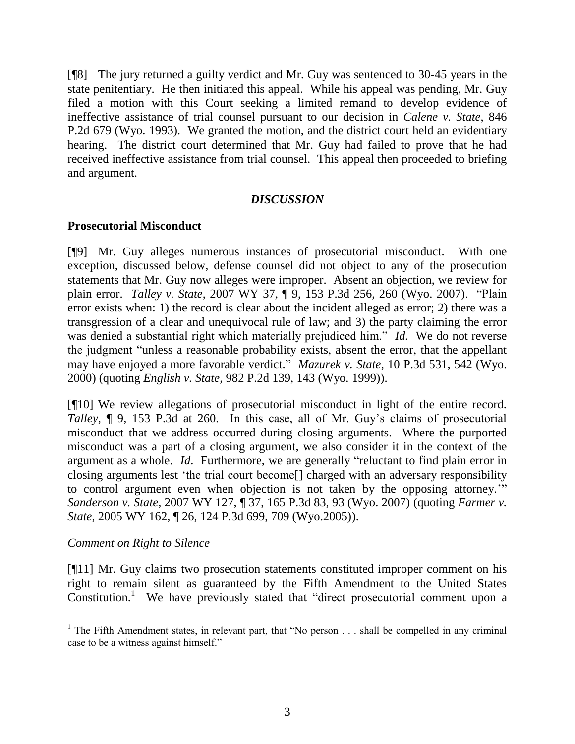[¶8] The jury returned a guilty verdict and Mr. Guy was sentenced to 30-45 years in the state penitentiary. He then initiated this appeal. While his appeal was pending, Mr. Guy filed a motion with this Court seeking a limited remand to develop evidence of ineffective assistance of trial counsel pursuant to our decision in *Calene v. State*, 846 P.2d 679 (Wyo. 1993). We granted the motion, and the district court held an evidentiary hearing. The district court determined that Mr. Guy had failed to prove that he had received ineffective assistance from trial counsel. This appeal then proceeded to briefing and argument.

### *DISCUSSION*

### **Prosecutorial Misconduct**

[¶9] Mr. Guy alleges numerous instances of prosecutorial misconduct. With one exception, discussed below, defense counsel did not object to any of the prosecution statements that Mr. Guy now alleges were improper. Absent an objection, we review for plain error. *Talley v. State*, 2007 WY 37, ¶ 9, 153 P.3d 256, 260 (Wyo. 2007). "Plain error exists when: 1) the record is clear about the incident alleged as error; 2) there was a transgression of a clear and unequivocal rule of law; and 3) the party claiming the error was denied a substantial right which materially prejudiced him." *Id.* We do not reverse the judgment "unless a reasonable probability exists, absent the error, that the appellant may have enjoyed a more favorable verdict." *Mazurek v. State*, 10 P.3d 531, 542 (Wyo. 2000) (quoting *English v. State*, 982 P.2d 139, 143 (Wyo. 1999)).

[¶10] We review allegations of prosecutorial misconduct in light of the entire record. *Talley*,  $\parallel$  9, 153 P.3d at 260. In this case, all of Mr. Guy's claims of prosecutorial misconduct that we address occurred during closing arguments. Where the purported misconduct was a part of a closing argument, we also consider it in the context of the argument as a whole. *Id*. Furthermore, we are generally "reluctant to find plain error in closing arguments lest "the trial court become[] charged with an adversary responsibility to control argument even when objection is not taken by the opposing attorney."" *Sanderson v. State*, 2007 WY 127, ¶ 37, 165 P.3d 83, 93 (Wyo. 2007) (quoting *Farmer v. State*, 2005 WY 162, ¶ 26, 124 P.3d 699, 709 (Wyo.2005)).

### *Comment on Right to Silence*

[¶11] Mr. Guy claims two prosecution statements constituted improper comment on his right to remain silent as guaranteed by the Fifth Amendment to the United States Constitution. 1 We have previously stated that "direct prosecutorial comment upon a

<sup>&</sup>lt;sup>1</sup> The Fifth Amendment states, in relevant part, that "No person  $\dots$  shall be compelled in any criminal case to be a witness against himself."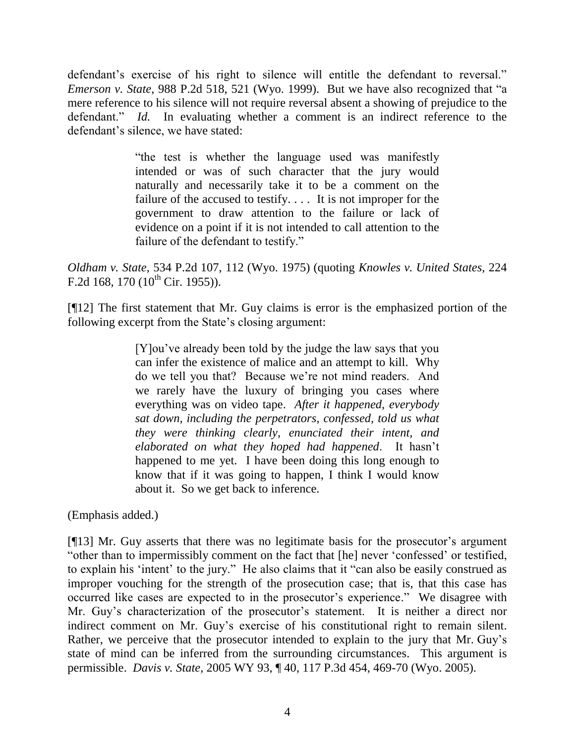defendant's exercise of his right to silence will entitle the defendant to reversal." *Emerson v. State*, 988 P.2d 518, 521 (Wyo. 1999). But we have also recognized that "a mere reference to his silence will not require reversal absent a showing of prejudice to the defendant." *Id.* In evaluating whether a comment is an indirect reference to the defendant's silence, we have stated:

> "the test is whether the language used was manifestly intended or was of such character that the jury would naturally and necessarily take it to be a comment on the failure of the accused to testify. . . . It is not improper for the government to draw attention to the failure or lack of evidence on a point if it is not intended to call attention to the failure of the defendant to testify."

*Oldham v. State*, 534 P.2d 107, 112 (Wyo. 1975) (quoting *Knowles v. United States*, 224 F.2d 168, 170  $(10^{th}$  Cir. 1955)).

[¶12] The first statement that Mr. Guy claims is error is the emphasized portion of the following excerpt from the State's closing argument:

> [Y]ou"ve already been told by the judge the law says that you can infer the existence of malice and an attempt to kill. Why do we tell you that? Because we"re not mind readers. And we rarely have the luxury of bringing you cases where everything was on video tape. *After it happened, everybody sat down, including the perpetrators, confessed, told us what they were thinking clearly, enunciated their intent, and elaborated on what they hoped had happened*. It hasn"t happened to me yet. I have been doing this long enough to know that if it was going to happen, I think I would know about it. So we get back to inference.

(Emphasis added.)

[¶13] Mr. Guy asserts that there was no legitimate basis for the prosecutor's argument "other than to impermissibly comment on the fact that [he] never "confessed" or testified, to explain his "intent" to the jury." He also claims that it "can also be easily construed as improper vouching for the strength of the prosecution case; that is, that this case has occurred like cases are expected to in the prosecutor's experience." We disagree with Mr. Guy's characterization of the prosecutor's statement. It is neither a direct nor indirect comment on Mr. Guy's exercise of his constitutional right to remain silent. Rather, we perceive that the prosecutor intended to explain to the jury that Mr. Guy"s state of mind can be inferred from the surrounding circumstances. This argument is permissible. *Davis v. State*, 2005 WY 93, ¶ 40, 117 P.3d 454, 469-70 (Wyo. 2005).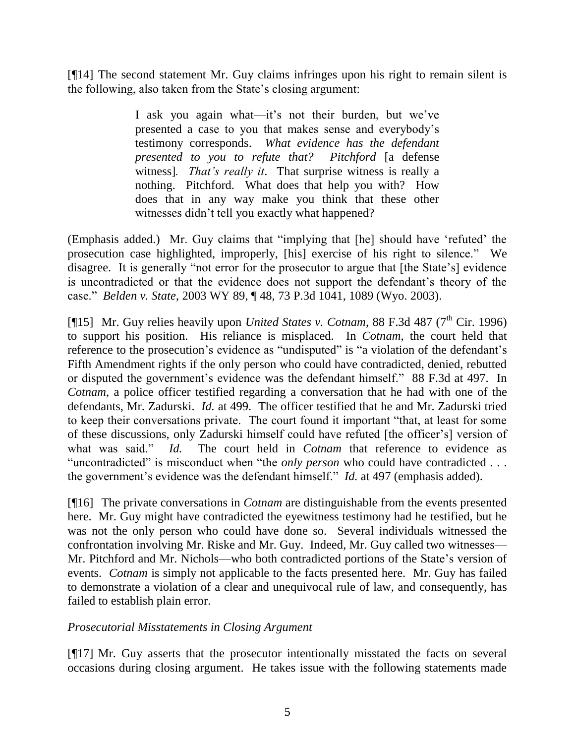[¶14] The second statement Mr. Guy claims infringes upon his right to remain silent is the following, also taken from the State"s closing argument:

> I ask you again what—it's not their burden, but we've presented a case to you that makes sense and everybody"s testimony corresponds. *What evidence has the defendant presented to you to refute that? Pitchford* [a defense witness]*. That's really it*. That surprise witness is really a nothing. Pitchford. What does that help you with? How does that in any way make you think that these other witnesses didn"t tell you exactly what happened?

(Emphasis added.) Mr. Guy claims that "implying that [he] should have "refuted" the prosecution case highlighted, improperly, [his] exercise of his right to silence." We disagree. It is generally "not error for the prosecutor to argue that [the State's] evidence is uncontradicted or that the evidence does not support the defendant"s theory of the case." *Belden v. State*, 2003 WY 89, ¶ 48, 73 P.3d 1041, 1089 (Wyo. 2003).

[¶15] Mr. Guy relies heavily upon *United States v. Cotnam*, 88 F.3d 487 (7<sup>th</sup> Cir. 1996) to support his position. His reliance is misplaced. In *Cotnam*, the court held that reference to the prosecution's evidence as "undisputed" is "a violation of the defendant's Fifth Amendment rights if the only person who could have contradicted, denied, rebutted or disputed the government"s evidence was the defendant himself." 88 F.3d at 497. In *Cotnam*, a police officer testified regarding a conversation that he had with one of the defendants, Mr. Zadurski. *Id.* at 499. The officer testified that he and Mr. Zadurski tried to keep their conversations private. The court found it important "that, at least for some of these discussions, only Zadurski himself could have refuted [the officer"s] version of what was said." *Id.* The court held in *Cotnam* that reference to evidence as "uncontradicted" is misconduct when "the *only person* who could have contradicted . . . the government's evidence was the defendant himself." *Id.* at 497 (emphasis added).

[¶16] The private conversations in *Cotnam* are distinguishable from the events presented here. Mr. Guy might have contradicted the eyewitness testimony had he testified, but he was not the only person who could have done so. Several individuals witnessed the confrontation involving Mr. Riske and Mr. Guy. Indeed, Mr. Guy called two witnesses— Mr. Pitchford and Mr. Nichols—who both contradicted portions of the State"s version of events. *Cotnam* is simply not applicable to the facts presented here. Mr. Guy has failed to demonstrate a violation of a clear and unequivocal rule of law, and consequently, has failed to establish plain error.

### *Prosecutorial Misstatements in Closing Argument*

[¶17] Mr. Guy asserts that the prosecutor intentionally misstated the facts on several occasions during closing argument. He takes issue with the following statements made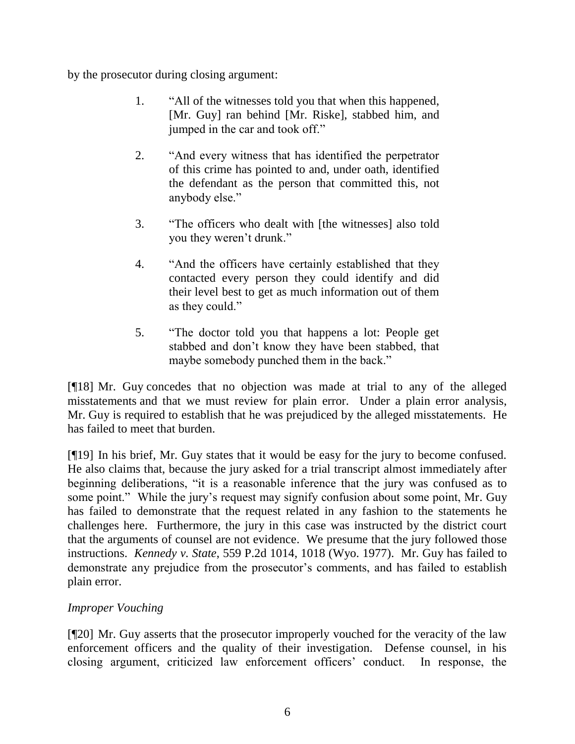by the prosecutor during closing argument:

- 1. "All of the witnesses told you that when this happened, [Mr. Guy] ran behind [Mr. Riske], stabbed him, and jumped in the car and took off."
- 2. "And every witness that has identified the perpetrator of this crime has pointed to and, under oath, identified the defendant as the person that committed this, not anybody else."
- 3. "The officers who dealt with [the witnesses] also told you they weren"t drunk."
- 4. "And the officers have certainly established that they contacted every person they could identify and did their level best to get as much information out of them as they could."
- 5. "The doctor told you that happens a lot: People get stabbed and don"t know they have been stabbed, that maybe somebody punched them in the back."

[¶18] Mr. Guy concedes that no objection was made at trial to any of the alleged misstatements and that we must review for plain error. Under a plain error analysis, Mr. Guy is required to establish that he was prejudiced by the alleged misstatements. He has failed to meet that burden.

[¶19] In his brief, Mr. Guy states that it would be easy for the jury to become confused. He also claims that, because the jury asked for a trial transcript almost immediately after beginning deliberations, "it is a reasonable inference that the jury was confused as to some point." While the jury's request may signify confusion about some point, Mr. Guy has failed to demonstrate that the request related in any fashion to the statements he challenges here. Furthermore, the jury in this case was instructed by the district court that the arguments of counsel are not evidence. We presume that the jury followed those instructions. *Kennedy v. State*, 559 P.2d 1014, 1018 (Wyo. 1977). Mr. Guy has failed to demonstrate any prejudice from the prosecutor's comments, and has failed to establish plain error.

## *Improper Vouching*

[¶20] Mr. Guy asserts that the prosecutor improperly vouched for the veracity of the law enforcement officers and the quality of their investigation. Defense counsel, in his closing argument, criticized law enforcement officers" conduct. In response, the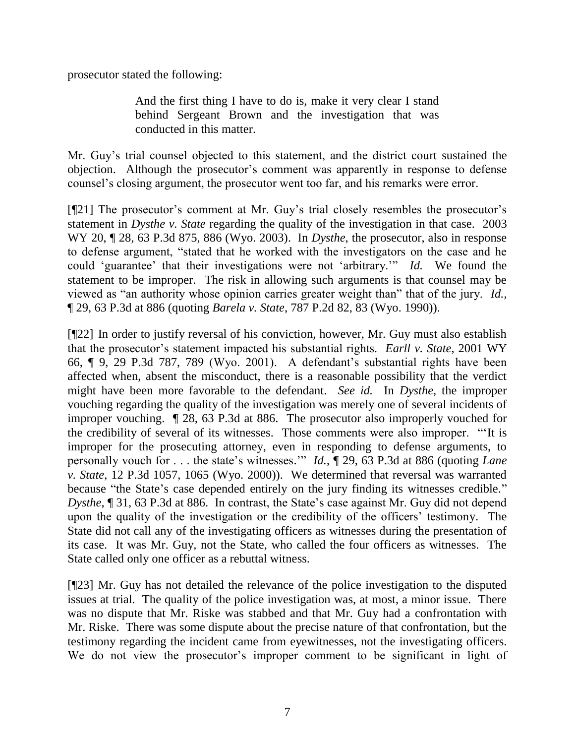prosecutor stated the following:

And the first thing I have to do is, make it very clear I stand behind Sergeant Brown and the investigation that was conducted in this matter.

Mr. Guy"s trial counsel objected to this statement, and the district court sustained the objection. Although the prosecutor"s comment was apparently in response to defense counsel"s closing argument, the prosecutor went too far, and his remarks were error.

[¶21] The prosecutor"s comment at Mr. Guy"s trial closely resembles the prosecutor"s statement in *Dysthe v. State* regarding the quality of the investigation in that case. 2003 WY 20, ¶ 28, 63 P.3d 875, 886 (Wyo. 2003). In *Dysthe*, the prosecutor, also in response to defense argument, "stated that he worked with the investigators on the case and he could 'guarantee' that their investigations were not 'arbitrary.'" *Id.* We found the statement to be improper. The risk in allowing such arguments is that counsel may be viewed as "an authority whose opinion carries greater weight than" that of the jury. *Id.*, ¶ 29, 63 P.3d at 886 (quoting *Barela v. State*, 787 P.2d 82, 83 (Wyo. 1990)).

[¶22] In order to justify reversal of his conviction, however, Mr. Guy must also establish that the prosecutor"s statement impacted his substantial rights. *Earll v. State*, 2001 WY 66, ¶ 9, 29 P.3d 787, 789 (Wyo. 2001). A defendant"s substantial rights have been affected when, absent the misconduct, there is a reasonable possibility that the verdict might have been more favorable to the defendant. *See id.* In *Dysthe*, the improper vouching regarding the quality of the investigation was merely one of several incidents of improper vouching. ¶ 28, 63 P.3d at 886. The prosecutor also improperly vouched for the credibility of several of its witnesses. Those comments were also improper. ""It is improper for the prosecuting attorney, even in responding to defense arguments, to personally vouch for . . . the state"s witnesses."" *Id.*, ¶ 29, 63 P.3d at 886 (quoting *Lane v. State*, 12 P.3d 1057, 1065 (Wyo. 2000)). We determined that reversal was warranted because "the State's case depended entirely on the jury finding its witnesses credible." *Dysthe*, 1 31, 63 P.3d at 886. In contrast, the State's case against Mr. Guy did not depend upon the quality of the investigation or the credibility of the officers' testimony. The State did not call any of the investigating officers as witnesses during the presentation of its case. It was Mr. Guy, not the State, who called the four officers as witnesses. The State called only one officer as a rebuttal witness.

[¶23] Mr. Guy has not detailed the relevance of the police investigation to the disputed issues at trial. The quality of the police investigation was, at most, a minor issue. There was no dispute that Mr. Riske was stabbed and that Mr. Guy had a confrontation with Mr. Riske. There was some dispute about the precise nature of that confrontation, but the testimony regarding the incident came from eyewitnesses, not the investigating officers. We do not view the prosecutor's improper comment to be significant in light of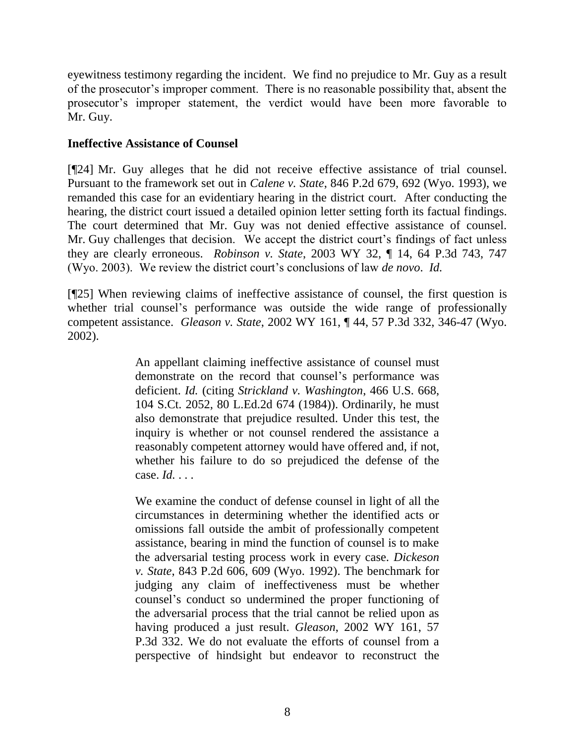eyewitness testimony regarding the incident. We find no prejudice to Mr. Guy as a result of the prosecutor"s improper comment. There is no reasonable possibility that, absent the prosecutor"s improper statement, the verdict would have been more favorable to Mr. Guy.

### **Ineffective Assistance of Counsel**

[¶24] Mr. Guy alleges that he did not receive effective assistance of trial counsel. Pursuant to the framework set out in *Calene v. State*, 846 P.2d 679, 692 (Wyo. 1993), we remanded this case for an evidentiary hearing in the district court. After conducting the hearing, the district court issued a detailed opinion letter setting forth its factual findings. The court determined that Mr. Guy was not denied effective assistance of counsel. Mr. Guy challenges that decision. We accept the district court's findings of fact unless they are clearly erroneous. *Robinson v. State*, 2003 WY 32, ¶ 14, 64 P.3d 743, 747 (Wyo. 2003). We review the district court"s conclusions of law *de novo*. *Id.*

[¶25] When reviewing claims of ineffective assistance of counsel, the first question is whether trial counsel's performance was outside the wide range of professionally competent assistance. *Gleason v. State*, 2002 WY 161, ¶ 44, 57 P.3d 332, 346-47 (Wyo. 2002).

> An appellant claiming ineffective assistance of counsel must demonstrate on the record that counsel"s performance was deficient. *Id.* (citing *Strickland v. Washington*, 466 U.S. 668, 104 S.Ct. 2052, 80 L.Ed.2d 674 (1984)). Ordinarily, he must also demonstrate that prejudice resulted. Under this test, the inquiry is whether or not counsel rendered the assistance a reasonably competent attorney would have offered and, if not, whether his failure to do so prejudiced the defense of the case. *Id.* . . .

> We examine the conduct of defense counsel in light of all the circumstances in determining whether the identified acts or omissions fall outside the ambit of professionally competent assistance, bearing in mind the function of counsel is to make the adversarial testing process work in every case. *Dickeson v. State*, 843 P.2d 606, 609 (Wyo. 1992). The benchmark for judging any claim of ineffectiveness must be whether counsel"s conduct so undermined the proper functioning of the adversarial process that the trial cannot be relied upon as having produced a just result. *Gleason*, 2002 WY 161, 57 P.3d 332. We do not evaluate the efforts of counsel from a perspective of hindsight but endeavor to reconstruct the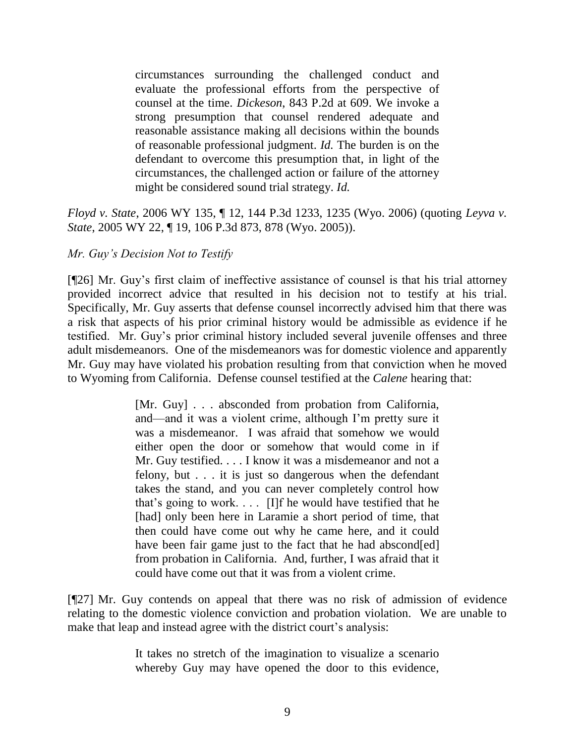circumstances surrounding the challenged conduct and evaluate the professional efforts from the perspective of counsel at the time. *Dickeson*, 843 P.2d at 609. We invoke a strong presumption that counsel rendered adequate and reasonable assistance making all decisions within the bounds of reasonable professional judgment. *Id.* The burden is on the defendant to overcome this presumption that, in light of the circumstances, the challenged action or failure of the attorney might be considered sound trial strategy. *Id.*

*Floyd v. State*, 2006 WY 135, ¶ 12, 144 P.3d 1233, 1235 (Wyo. 2006) (quoting *Leyva v. State*, 2005 WY 22, ¶ 19, 106 P.3d 873, 878 (Wyo. 2005)).

### *Mr. Guy's Decision Not to Testify*

[¶26] Mr. Guy"s first claim of ineffective assistance of counsel is that his trial attorney provided incorrect advice that resulted in his decision not to testify at his trial. Specifically, Mr. Guy asserts that defense counsel incorrectly advised him that there was a risk that aspects of his prior criminal history would be admissible as evidence if he testified. Mr. Guy"s prior criminal history included several juvenile offenses and three adult misdemeanors. One of the misdemeanors was for domestic violence and apparently Mr. Guy may have violated his probation resulting from that conviction when he moved to Wyoming from California. Defense counsel testified at the *Calene* hearing that:

> [Mr. Guy] . . . absconded from probation from California, and—and it was a violent crime, although I"m pretty sure it was a misdemeanor. I was afraid that somehow we would either open the door or somehow that would come in if Mr. Guy testified. . . . I know it was a misdemeanor and not a felony, but . . . it is just so dangerous when the defendant takes the stand, and you can never completely control how that's going to work.  $\ldots$  [I]f he would have testified that he [had] only been here in Laramie a short period of time, that then could have come out why he came here, and it could have been fair game just to the fact that he had abscond[ed] from probation in California. And, further, I was afraid that it could have come out that it was from a violent crime.

[¶27] Mr. Guy contends on appeal that there was no risk of admission of evidence relating to the domestic violence conviction and probation violation. We are unable to make that leap and instead agree with the district court's analysis:

> It takes no stretch of the imagination to visualize a scenario whereby Guy may have opened the door to this evidence,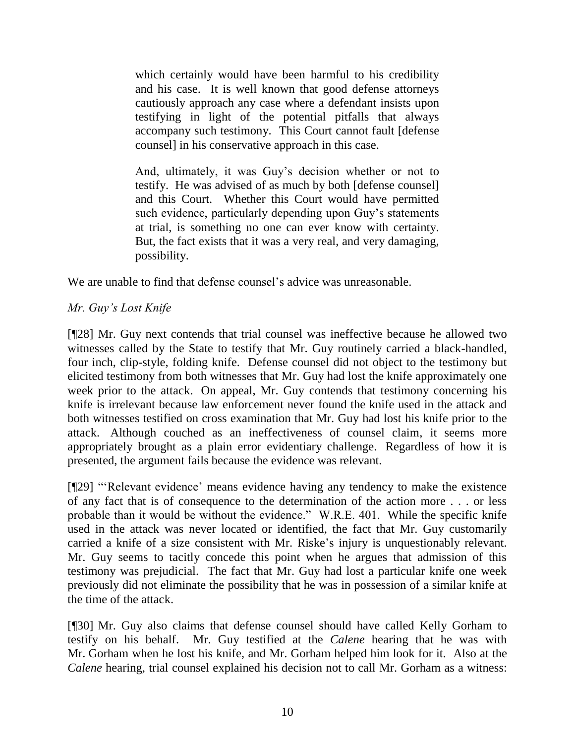which certainly would have been harmful to his credibility and his case. It is well known that good defense attorneys cautiously approach any case where a defendant insists upon testifying in light of the potential pitfalls that always accompany such testimony. This Court cannot fault [defense counsel] in his conservative approach in this case.

And, ultimately, it was Guy's decision whether or not to testify. He was advised of as much by both [defense counsel] and this Court. Whether this Court would have permitted such evidence, particularly depending upon Guy's statements at trial, is something no one can ever know with certainty. But, the fact exists that it was a very real, and very damaging, possibility.

We are unable to find that defense counsel's advice was unreasonable.

# *Mr. Guy's Lost Knife*

[¶28] Mr. Guy next contends that trial counsel was ineffective because he allowed two witnesses called by the State to testify that Mr. Guy routinely carried a black-handled, four inch, clip-style, folding knife. Defense counsel did not object to the testimony but elicited testimony from both witnesses that Mr. Guy had lost the knife approximately one week prior to the attack. On appeal, Mr. Guy contends that testimony concerning his knife is irrelevant because law enforcement never found the knife used in the attack and both witnesses testified on cross examination that Mr. Guy had lost his knife prior to the attack. Although couched as an ineffectiveness of counsel claim, it seems more appropriately brought as a plain error evidentiary challenge. Regardless of how it is presented, the argument fails because the evidence was relevant.

[¶29] ""Relevant evidence" means evidence having any tendency to make the existence of any fact that is of consequence to the determination of the action more . . . or less probable than it would be without the evidence." W.R.E. 401. While the specific knife used in the attack was never located or identified, the fact that Mr. Guy customarily carried a knife of a size consistent with Mr. Riske's injury is unquestionably relevant. Mr. Guy seems to tacitly concede this point when he argues that admission of this testimony was prejudicial. The fact that Mr. Guy had lost a particular knife one week previously did not eliminate the possibility that he was in possession of a similar knife at the time of the attack.

[¶30] Mr. Guy also claims that defense counsel should have called Kelly Gorham to testify on his behalf. Mr. Guy testified at the *Calene* hearing that he was with Mr. Gorham when he lost his knife, and Mr. Gorham helped him look for it. Also at the *Calene* hearing, trial counsel explained his decision not to call Mr. Gorham as a witness: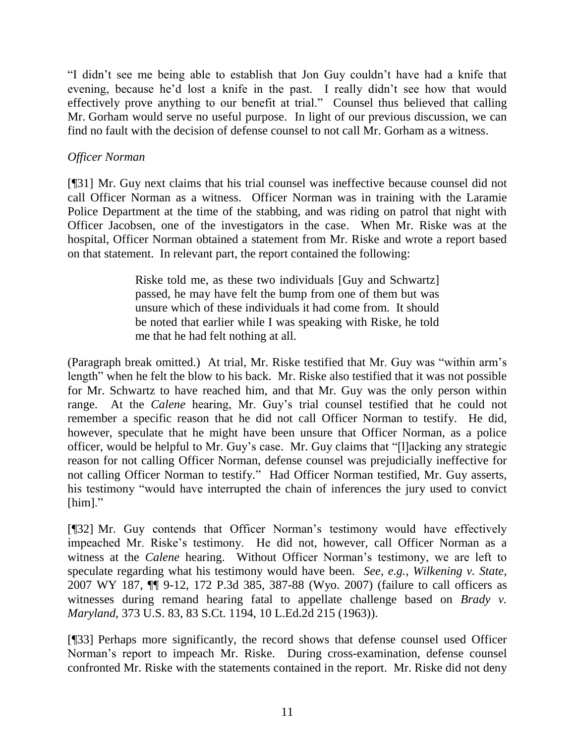"I didn"t see me being able to establish that Jon Guy couldn"t have had a knife that evening, because he"d lost a knife in the past. I really didn"t see how that would effectively prove anything to our benefit at trial." Counsel thus believed that calling Mr. Gorham would serve no useful purpose. In light of our previous discussion, we can find no fault with the decision of defense counsel to not call Mr. Gorham as a witness.

### *Officer Norman*

[¶31] Mr. Guy next claims that his trial counsel was ineffective because counsel did not call Officer Norman as a witness. Officer Norman was in training with the Laramie Police Department at the time of the stabbing, and was riding on patrol that night with Officer Jacobsen, one of the investigators in the case. When Mr. Riske was at the hospital, Officer Norman obtained a statement from Mr. Riske and wrote a report based on that statement. In relevant part, the report contained the following:

> Riske told me, as these two individuals [Guy and Schwartz] passed, he may have felt the bump from one of them but was unsure which of these individuals it had come from. It should be noted that earlier while I was speaking with Riske, he told me that he had felt nothing at all.

(Paragraph break omitted.) At trial, Mr. Riske testified that Mr. Guy was "within arm"s length" when he felt the blow to his back. Mr. Riske also testified that it was not possible for Mr. Schwartz to have reached him, and that Mr. Guy was the only person within range. At the *Calene* hearing, Mr. Guy's trial counsel testified that he could not remember a specific reason that he did not call Officer Norman to testify. He did, however, speculate that he might have been unsure that Officer Norman, as a police officer, would be helpful to Mr. Guy"s case. Mr. Guy claims that "[l]acking any strategic reason for not calling Officer Norman, defense counsel was prejudicially ineffective for not calling Officer Norman to testify." Had Officer Norman testified, Mr. Guy asserts, his testimony "would have interrupted the chain of inferences the jury used to convict [him]."

[¶32] Mr. Guy contends that Officer Norman"s testimony would have effectively impeached Mr. Riske"s testimony. He did not, however, call Officer Norman as a witness at the *Calene* hearing. Without Officer Norman's testimony, we are left to speculate regarding what his testimony would have been. *See*, *e.g.*, *Wilkening v. State*, 2007 WY 187, ¶¶ 9-12, 172 P.3d 385, 387-88 (Wyo. 2007) (failure to call officers as witnesses during remand hearing fatal to appellate challenge based on *Brady v. Maryland*, 373 U.S. 83, 83 S.Ct. 1194, 10 L.Ed.2d 215 (1963)).

[¶33] Perhaps more significantly, the record shows that defense counsel used Officer Norman"s report to impeach Mr. Riske. During cross-examination, defense counsel confronted Mr. Riske with the statements contained in the report. Mr. Riske did not deny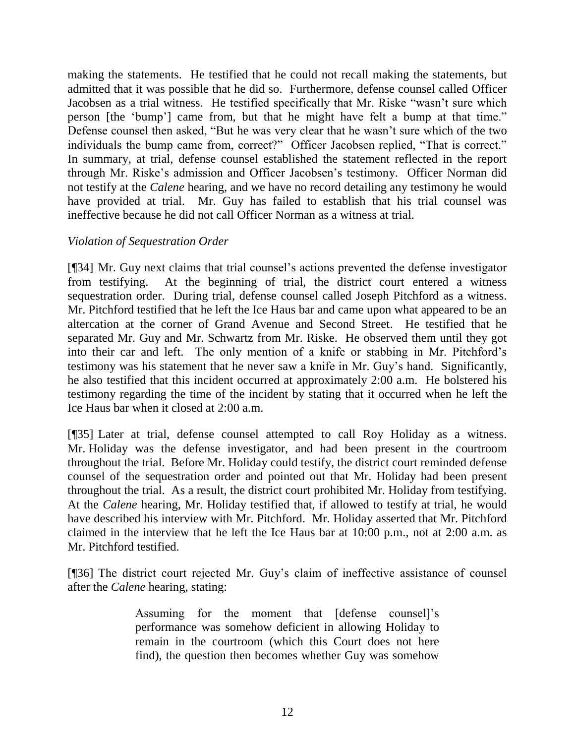making the statements. He testified that he could not recall making the statements, but admitted that it was possible that he did so. Furthermore, defense counsel called Officer Jacobsen as a trial witness. He testified specifically that Mr. Riske "wasn"t sure which person [the "bump"] came from, but that he might have felt a bump at that time." Defense counsel then asked, "But he was very clear that he wasn"t sure which of the two individuals the bump came from, correct?" Officer Jacobsen replied, "That is correct." In summary, at trial, defense counsel established the statement reflected in the report through Mr. Riske"s admission and Officer Jacobsen"s testimony. Officer Norman did not testify at the *Calene* hearing, and we have no record detailing any testimony he would have provided at trial. Mr. Guy has failed to establish that his trial counsel was ineffective because he did not call Officer Norman as a witness at trial.

### *Violation of Sequestration Order*

[¶34] Mr. Guy next claims that trial counsel"s actions prevented the defense investigator from testifying. At the beginning of trial, the district court entered a witness sequestration order. During trial, defense counsel called Joseph Pitchford as a witness. Mr. Pitchford testified that he left the Ice Haus bar and came upon what appeared to be an altercation at the corner of Grand Avenue and Second Street. He testified that he separated Mr. Guy and Mr. Schwartz from Mr. Riske. He observed them until they got into their car and left. The only mention of a knife or stabbing in Mr. Pitchford"s testimony was his statement that he never saw a knife in Mr. Guy"s hand. Significantly, he also testified that this incident occurred at approximately 2:00 a.m. He bolstered his testimony regarding the time of the incident by stating that it occurred when he left the Ice Haus bar when it closed at 2:00 a.m.

[¶35] Later at trial, defense counsel attempted to call Roy Holiday as a witness. Mr. Holiday was the defense investigator, and had been present in the courtroom throughout the trial. Before Mr. Holiday could testify, the district court reminded defense counsel of the sequestration order and pointed out that Mr. Holiday had been present throughout the trial. As a result, the district court prohibited Mr. Holiday from testifying. At the *Calene* hearing, Mr. Holiday testified that, if allowed to testify at trial, he would have described his interview with Mr. Pitchford. Mr. Holiday asserted that Mr. Pitchford claimed in the interview that he left the Ice Haus bar at 10:00 p.m., not at 2:00 a.m. as Mr. Pitchford testified.

[¶36] The district court rejected Mr. Guy's claim of ineffective assistance of counsel after the *Calene* hearing, stating:

> Assuming for the moment that [defense counsel]"s performance was somehow deficient in allowing Holiday to remain in the courtroom (which this Court does not here find), the question then becomes whether Guy was somehow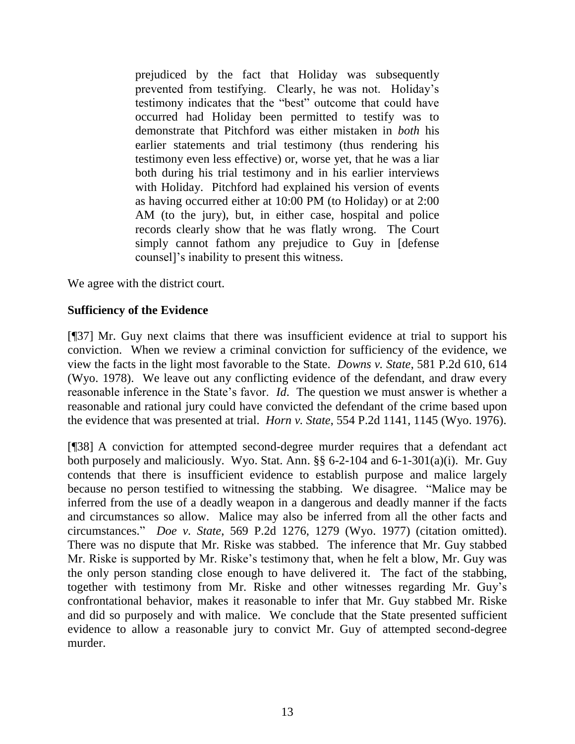prejudiced by the fact that Holiday was subsequently prevented from testifying. Clearly, he was not. Holiday"s testimony indicates that the "best" outcome that could have occurred had Holiday been permitted to testify was to demonstrate that Pitchford was either mistaken in *both* his earlier statements and trial testimony (thus rendering his testimony even less effective) or, worse yet, that he was a liar both during his trial testimony and in his earlier interviews with Holiday. Pitchford had explained his version of events as having occurred either at 10:00 PM (to Holiday) or at 2:00 AM (to the jury), but, in either case, hospital and police records clearly show that he was flatly wrong. The Court simply cannot fathom any prejudice to Guy in [defense counsel]"s inability to present this witness.

We agree with the district court.

### **Sufficiency of the Evidence**

[¶37] Mr. Guy next claims that there was insufficient evidence at trial to support his conviction. When we review a criminal conviction for sufficiency of the evidence, we view the facts in the light most favorable to the State. *Downs v. State*, 581 P.2d 610, 614 (Wyo. 1978). We leave out any conflicting evidence of the defendant, and draw every reasonable inference in the State"s favor. *Id*. The question we must answer is whether a reasonable and rational jury could have convicted the defendant of the crime based upon the evidence that was presented at trial. *Horn v. State*, 554 P.2d 1141, 1145 (Wyo. 1976).

[¶38] A conviction for attempted second-degree murder requires that a defendant act both purposely and maliciously. Wyo. Stat. Ann. §§ 6-2-104 and 6-1-301(a)(i). Mr. Guy contends that there is insufficient evidence to establish purpose and malice largely because no person testified to witnessing the stabbing. We disagree. "Malice may be inferred from the use of a deadly weapon in a dangerous and deadly manner if the facts and circumstances so allow. Malice may also be inferred from all the other facts and circumstances." *Doe v. State*, 569 P.2d 1276, 1279 (Wyo. 1977) (citation omitted). There was no dispute that Mr. Riske was stabbed. The inference that Mr. Guy stabbed Mr. Riske is supported by Mr. Riske"s testimony that, when he felt a blow, Mr. Guy was the only person standing close enough to have delivered it. The fact of the stabbing, together with testimony from Mr. Riske and other witnesses regarding Mr. Guy"s confrontational behavior, makes it reasonable to infer that Mr. Guy stabbed Mr. Riske and did so purposely and with malice. We conclude that the State presented sufficient evidence to allow a reasonable jury to convict Mr. Guy of attempted second-degree murder.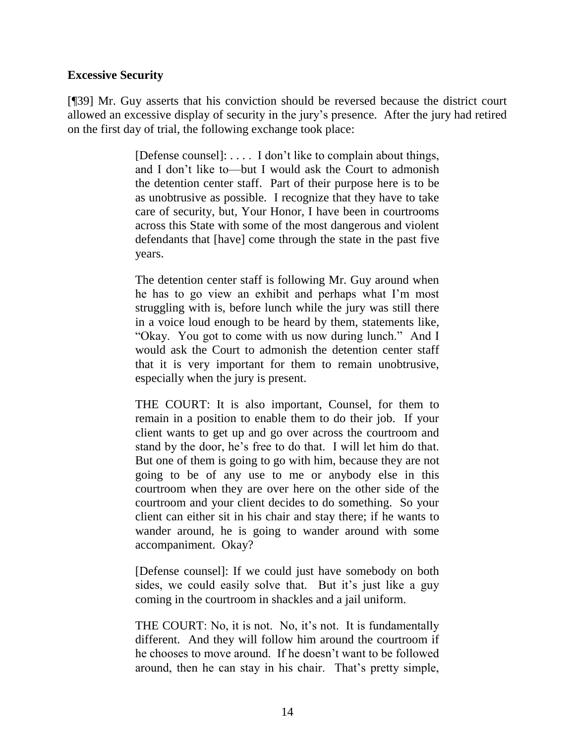### **Excessive Security**

[¶39] Mr. Guy asserts that his conviction should be reversed because the district court allowed an excessive display of security in the jury"s presence. After the jury had retired on the first day of trial, the following exchange took place:

> [Defense counsel]: . . . . I don"t like to complain about things, and I don"t like to—but I would ask the Court to admonish the detention center staff. Part of their purpose here is to be as unobtrusive as possible. I recognize that they have to take care of security, but, Your Honor, I have been in courtrooms across this State with some of the most dangerous and violent defendants that [have] come through the state in the past five years.

> The detention center staff is following Mr. Guy around when he has to go view an exhibit and perhaps what I"m most struggling with is, before lunch while the jury was still there in a voice loud enough to be heard by them, statements like, "Okay. You got to come with us now during lunch." And I would ask the Court to admonish the detention center staff that it is very important for them to remain unobtrusive, especially when the jury is present.

> THE COURT: It is also important, Counsel, for them to remain in a position to enable them to do their job. If your client wants to get up and go over across the courtroom and stand by the door, he's free to do that. I will let him do that. But one of them is going to go with him, because they are not going to be of any use to me or anybody else in this courtroom when they are over here on the other side of the courtroom and your client decides to do something. So your client can either sit in his chair and stay there; if he wants to wander around, he is going to wander around with some accompaniment. Okay?

> [Defense counsel]: If we could just have somebody on both sides, we could easily solve that. But it's just like a guy coming in the courtroom in shackles and a jail uniform.

> THE COURT: No, it is not. No, it's not. It is fundamentally different. And they will follow him around the courtroom if he chooses to move around. If he doesn"t want to be followed around, then he can stay in his chair. That"s pretty simple,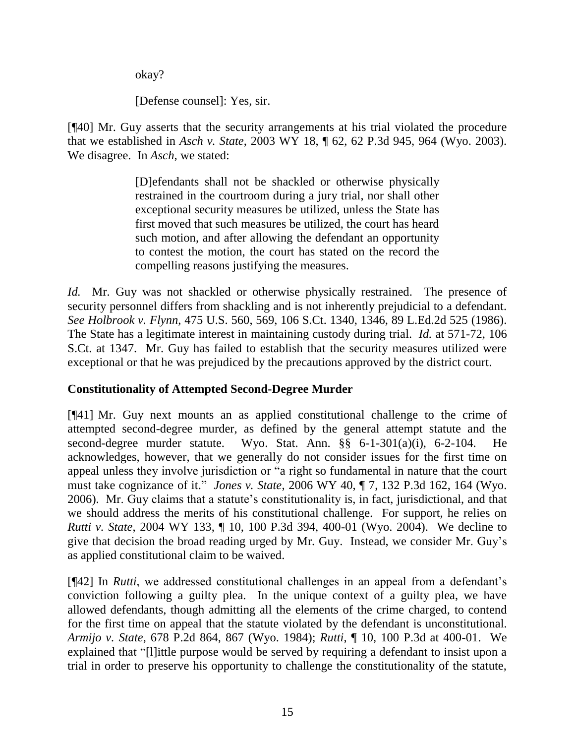okay?

[Defense counsel]: Yes, sir.

[¶40] Mr. Guy asserts that the security arrangements at his trial violated the procedure that we established in *Asch v. State*, 2003 WY 18, ¶ 62, 62 P.3d 945, 964 (Wyo. 2003). We disagree. In *Asch*, we stated:

> [D]efendants shall not be shackled or otherwise physically restrained in the courtroom during a jury trial, nor shall other exceptional security measures be utilized, unless the State has first moved that such measures be utilized, the court has heard such motion, and after allowing the defendant an opportunity to contest the motion, the court has stated on the record the compelling reasons justifying the measures.

*Id.* Mr. Guy was not shackled or otherwise physically restrained. The presence of security personnel differs from shackling and is not inherently prejudicial to a defendant. *See Holbrook v. Flynn*, 475 U.S. 560, 569, 106 S.Ct. 1340, 1346, 89 L.Ed.2d 525 (1986). The State has a legitimate interest in maintaining custody during trial. *Id.* at 571-72, 106 S.Ct. at 1347. Mr. Guy has failed to establish that the security measures utilized were exceptional or that he was prejudiced by the precautions approved by the district court.

## **Constitutionality of Attempted Second-Degree Murder**

[¶41] Mr. Guy next mounts an as applied constitutional challenge to the crime of attempted second-degree murder, as defined by the general attempt statute and the second-degree murder statute. Wyo. Stat. Ann. §§ 6-1-301(a)(i), 6-2-104. He acknowledges, however, that we generally do not consider issues for the first time on appeal unless they involve jurisdiction or "a right so fundamental in nature that the court must take cognizance of it." *Jones v. State*, 2006 WY 40, ¶ 7, 132 P.3d 162, 164 (Wyo. 2006). Mr. Guy claims that a statute"s constitutionality is, in fact, jurisdictional, and that we should address the merits of his constitutional challenge. For support, he relies on *Rutti v. State*, 2004 WY 133, ¶ 10, 100 P.3d 394, 400-01 (Wyo. 2004). We decline to give that decision the broad reading urged by Mr. Guy. Instead, we consider Mr. Guy"s as applied constitutional claim to be waived.

[¶42] In *Rutti*, we addressed constitutional challenges in an appeal from a defendant"s conviction following a guilty plea. In the unique context of a guilty plea, we have allowed defendants, though admitting all the elements of the crime charged, to contend for the first time on appeal that the statute violated by the defendant is unconstitutional. *Armijo v. State*, 678 P.2d 864, 867 (Wyo. 1984); *Rutti*, ¶ 10, 100 P.3d at 400-01. We explained that "[l]ittle purpose would be served by requiring a defendant to insist upon a trial in order to preserve his opportunity to challenge the constitutionality of the statute,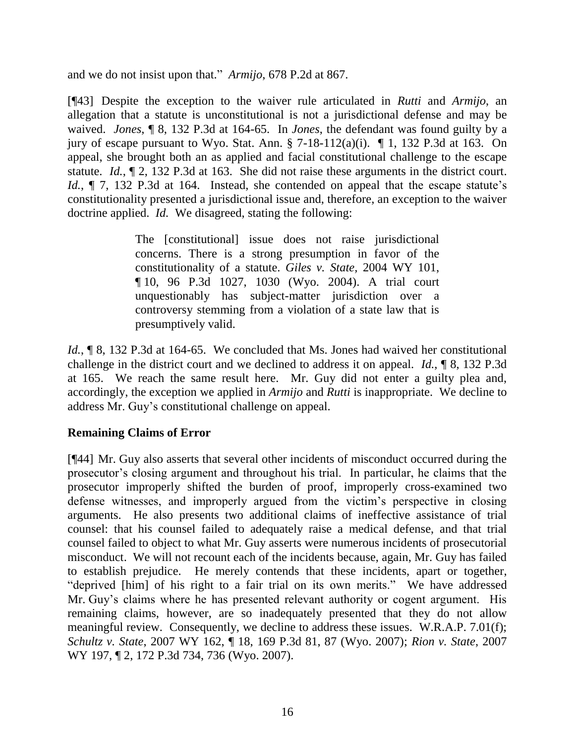and we do not insist upon that." *Armijo*, 678 P.2d at 867.

[¶43] Despite the exception to the waiver rule articulated in *Rutti* and *Armijo*, an allegation that a statute is unconstitutional is not a jurisdictional defense and may be waived. *Jones*, ¶ 8, 132 P.3d at 164-65. In *Jones*, the defendant was found guilty by a jury of escape pursuant to Wyo. Stat. Ann.  $\S$  7-18-112(a)(i).  $\P$  1, 132 P.3d at 163. On appeal, she brought both an as applied and facial constitutional challenge to the escape statute. *Id.*, ¶ 2, 132 P.3d at 163. She did not raise these arguments in the district court. *Id.*,  $\P$  7, 132 P.3d at 164. Instead, she contended on appeal that the escape statute's constitutionality presented a jurisdictional issue and, therefore, an exception to the waiver doctrine applied. *Id.* We disagreed, stating the following:

> The [constitutional] issue does not raise jurisdictional concerns. There is a strong presumption in favor of the constitutionality of a statute. *Giles v. State,* 2004 WY 101, ¶ 10, 96 P.3d 1027, 1030 (Wyo. 2004). A trial court unquestionably has subject-matter jurisdiction over a controversy stemming from a violation of a state law that is presumptively valid.

*Id.*, **[8, 132 P.3d at 164-65.** We concluded that Ms. Jones had waived her constitutional challenge in the district court and we declined to address it on appeal. *Id.*, ¶ 8, 132 P.3d at 165. We reach the same result here. Mr. Guy did not enter a guilty plea and, accordingly, the exception we applied in *Armijo* and *Rutti* is inappropriate. We decline to address Mr. Guy"s constitutional challenge on appeal.

### **Remaining Claims of Error**

[¶44] Mr. Guy also asserts that several other incidents of misconduct occurred during the prosecutor"s closing argument and throughout his trial. In particular, he claims that the prosecutor improperly shifted the burden of proof, improperly cross-examined two defense witnesses, and improperly argued from the victim"s perspective in closing arguments. He also presents two additional claims of ineffective assistance of trial counsel: that his counsel failed to adequately raise a medical defense, and that trial counsel failed to object to what Mr. Guy asserts were numerous incidents of prosecutorial misconduct. We will not recount each of the incidents because, again, Mr. Guy has failed to establish prejudice. He merely contends that these incidents, apart or together, "deprived [him] of his right to a fair trial on its own merits." We have addressed Mr. Guy"s claims where he has presented relevant authority or cogent argument. His remaining claims, however, are so inadequately presented that they do not allow meaningful review. Consequently, we decline to address these issues. W.R.A.P. 7.01(f); *Schultz v. State*, 2007 WY 162, ¶ 18, 169 P.3d 81, 87 (Wyo. 2007); *Rion v. State*, 2007 WY 197, 12, 172 P.3d 734, 736 (Wyo. 2007).